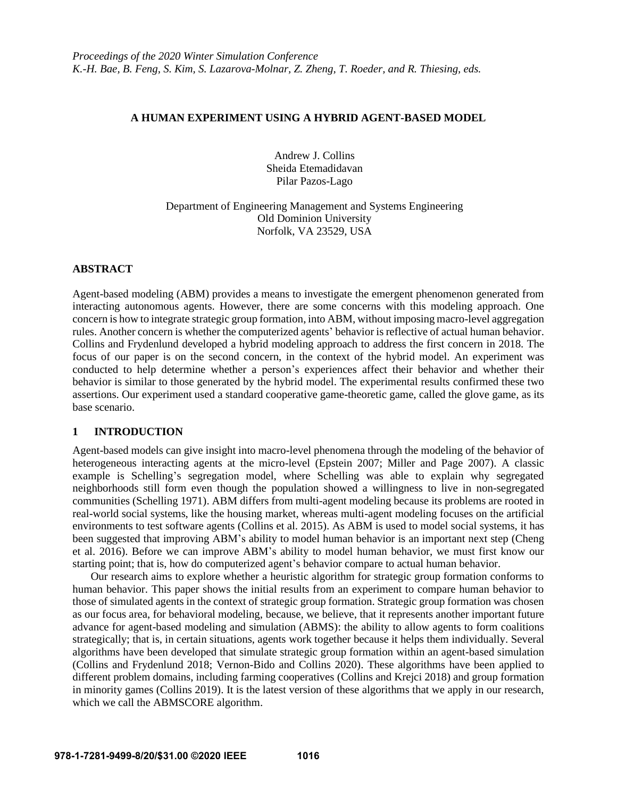### **A HUMAN EXPERIMENT USING A HYBRID AGENT-BASED MODEL**

Andrew J. Collins Sheida Etemadidavan Pilar Pazos-Lago

Department of Engineering Management and Systems Engineering Old Dominion University Norfolk, VA 23529, USA

# **ABSTRACT**

Agent-based modeling (ABM) provides a means to investigate the emergent phenomenon generated from interacting autonomous agents. However, there are some concerns with this modeling approach. One concern is how to integrate strategic group formation, into ABM, without imposing macro-level aggregation rules. Another concern is whether the computerized agents' behavior is reflective of actual human behavior. Collins and Frydenlund developed a hybrid modeling approach to address the first concern in 2018. The focus of our paper is on the second concern, in the context of the hybrid model. An experiment was conducted to help determine whether a person's experiences affect their behavior and whether their behavior is similar to those generated by the hybrid model. The experimental results confirmed these two assertions. Our experiment used a standard cooperative game-theoretic game, called the glove game, as its base scenario.

# **1 INTRODUCTION**

Agent-based models can give insight into macro-level phenomena through the modeling of the behavior of heterogeneous interacting agents at the micro-level (Epstein 2007; Miller and Page 2007). A classic example is Schelling's segregation model, where Schelling was able to explain why segregated neighborhoods still form even though the population showed a willingness to live in non-segregated communities (Schelling 1971). ABM differs from multi-agent modeling because its problems are rooted in real-world social systems, like the housing market, whereas multi-agent modeling focuses on the artificial environments to test software agents (Collins et al. 2015). As ABM is used to model social systems, it has been suggested that improving ABM's ability to model human behavior is an important next step (Cheng et al. 2016). Before we can improve ABM's ability to model human behavior, we must first know our starting point; that is, how do computerized agent's behavior compare to actual human behavior.

Our research aims to explore whether a heuristic algorithm for strategic group formation conforms to human behavior. This paper shows the initial results from an experiment to compare human behavior to those of simulated agents in the context of strategic group formation. Strategic group formation was chosen as our focus area, for behavioral modeling, because, we believe, that it represents another important future advance for agent-based modeling and simulation (ABMS): the ability to allow agents to form coalitions strategically; that is, in certain situations, agents work together because it helps them individually. Several algorithms have been developed that simulate strategic group formation within an agent-based simulation (Collins and Frydenlund 2018; Vernon-Bido and Collins 2020). These algorithms have been applied to different problem domains, including farming cooperatives (Collins and Krejci 2018) and group formation in minority games (Collins 2019). It is the latest version of these algorithms that we apply in our research, which we call the ABMSCORE algorithm.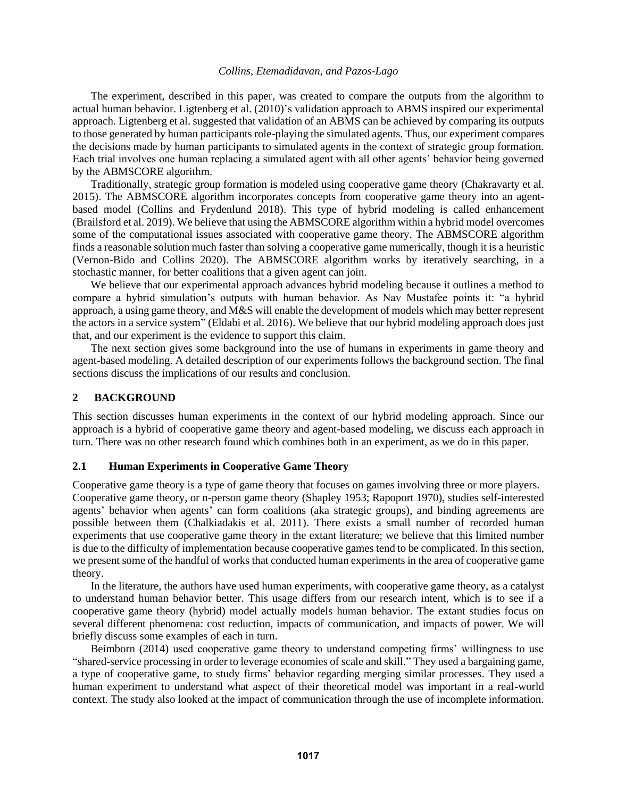The experiment, described in this paper, was created to compare the outputs from the algorithm to actual human behavior. Ligtenberg et al. (2010)'s validation approach to ABMS inspired our experimental approach. Ligtenberg et al. suggested that validation of an ABMS can be achieved by comparing its outputs to those generated by human participants role-playing the simulated agents. Thus, our experiment compares the decisions made by human participants to simulated agents in the context of strategic group formation. Each trial involves one human replacing a simulated agent with all other agents' behavior being governed by the ABMSCORE algorithm.

Traditionally, strategic group formation is modeled using cooperative game theory (Chakravarty et al. 2015). The ABMSCORE algorithm incorporates concepts from cooperative game theory into an agentbased model (Collins and Frydenlund 2018). This type of hybrid modeling is called enhancement (Brailsford et al. 2019). We believe that using the ABMSCORE algorithm within a hybrid model overcomes some of the computational issues associated with cooperative game theory. The ABMSCORE algorithm finds a reasonable solution much faster than solving a cooperative game numerically, though it is a heuristic (Vernon-Bido and Collins 2020). The ABMSCORE algorithm works by iteratively searching, in a stochastic manner, for better coalitions that a given agent can join.

We believe that our experimental approach advances hybrid modeling because it outlines a method to compare a hybrid simulation's outputs with human behavior. As Nav Mustafee points it: "a hybrid approach, a using game theory, and M&S will enable the development of models which may better represent the actors in a service system" (Eldabi et al. 2016). We believe that our hybrid modeling approach does just that, and our experiment is the evidence to support this claim.

The next section gives some background into the use of humans in experiments in game theory and agent-based modeling. A detailed description of our experiments follows the background section. The final sections discuss the implications of our results and conclusion.

### **2 BACKGROUND**

This section discusses human experiments in the context of our hybrid modeling approach. Since our approach is a hybrid of cooperative game theory and agent-based modeling, we discuss each approach in turn. There was no other research found which combines both in an experiment, as we do in this paper.

### **2.1 Human Experiments in Cooperative Game Theory**

Cooperative game theory is a type of game theory that focuses on games involving three or more players. Cooperative game theory, or n-person game theory (Shapley 1953; Rapoport 1970), studies self-interested agents' behavior when agents' can form coalitions (aka strategic groups), and binding agreements are possible between them (Chalkiadakis et al. 2011). There exists a small number of recorded human experiments that use cooperative game theory in the extant literature; we believe that this limited number is due to the difficulty of implementation because cooperative games tend to be complicated. In this section, we present some of the handful of works that conducted human experiments in the area of cooperative game theory.

In the literature, the authors have used human experiments, with cooperative game theory, as a catalyst to understand human behavior better. This usage differs from our research intent, which is to see if a cooperative game theory (hybrid) model actually models human behavior. The extant studies focus on several different phenomena: cost reduction, impacts of communication, and impacts of power. We will briefly discuss some examples of each in turn.

Beimborn (2014) used cooperative game theory to understand competing firms' willingness to use "shared-service processing in order to leverage economies of scale and skill." They used a bargaining game, a type of cooperative game, to study firms' behavior regarding merging similar processes. They used a human experiment to understand what aspect of their theoretical model was important in a real-world context. The study also looked at the impact of communication through the use of incomplete information.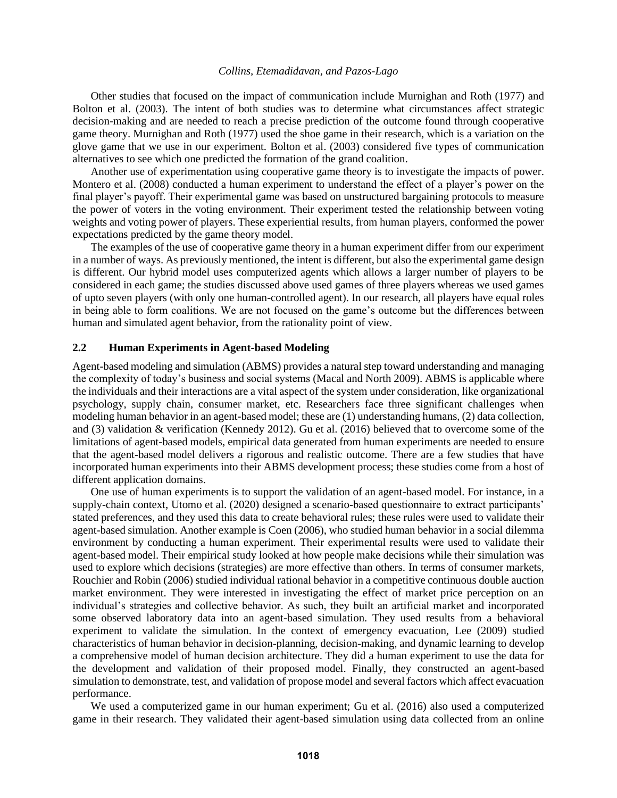Other studies that focused on the impact of communication include Murnighan and Roth (1977) and Bolton et al. (2003). The intent of both studies was to determine what circumstances affect strategic decision-making and are needed to reach a precise prediction of the outcome found through cooperative game theory. Murnighan and Roth (1977) used the shoe game in their research, which is a variation on the glove game that we use in our experiment. Bolton et al. (2003) considered five types of communication alternatives to see which one predicted the formation of the grand coalition.

Another use of experimentation using cooperative game theory is to investigate the impacts of power. Montero et al. (2008) conducted a human experiment to understand the effect of a player's power on the final player's payoff. Their experimental game was based on unstructured bargaining protocols to measure the power of voters in the voting environment. Their experiment tested the relationship between voting weights and voting power of players. These experiential results, from human players, conformed the power expectations predicted by the game theory model.

The examples of the use of cooperative game theory in a human experiment differ from our experiment in a number of ways. As previously mentioned, the intent is different, but also the experimental game design is different. Our hybrid model uses computerized agents which allows a larger number of players to be considered in each game; the studies discussed above used games of three players whereas we used games of upto seven players (with only one human-controlled agent). In our research, all players have equal roles in being able to form coalitions. We are not focused on the game's outcome but the differences between human and simulated agent behavior, from the rationality point of view.

### **2.2 Human Experiments in Agent-based Modeling**

Agent-based modeling and simulation (ABMS) provides a natural step toward understanding and managing the complexity of today's business and social systems (Macal and North 2009). ABMS is applicable where the individuals and their interactions are a vital aspect of the system under consideration, like organizational psychology, supply chain, consumer market, etc. Researchers face three significant challenges when modeling human behavior in an agent-based model; these are (1) understanding humans, (2) data collection, and (3) validation & verification (Kennedy 2012). Gu et al. (2016) believed that to overcome some of the limitations of agent-based models, empirical data generated from human experiments are needed to ensure that the agent-based model delivers a rigorous and realistic outcome. There are a few studies that have incorporated human experiments into their ABMS development process; these studies come from a host of different application domains.

One use of human experiments is to support the validation of an agent-based model. For instance, in a supply-chain context, Utomo et al. (2020) designed a scenario-based questionnaire to extract participants' stated preferences, and they used this data to create behavioral rules; these rules were used to validate their agent-based simulation. Another example is Coen (2006), who studied human behavior in a social dilemma environment by conducting a human experiment. Their experimental results were used to validate their agent-based model. Their empirical study looked at how people make decisions while their simulation was used to explore which decisions (strategies) are more effective than others. In terms of consumer markets, Rouchier and Robin (2006) studied individual rational behavior in a competitive continuous double auction market environment. They were interested in investigating the effect of market price perception on an individual's strategies and collective behavior. As such, they built an artificial market and incorporated some observed laboratory data into an agent-based simulation. They used results from a behavioral experiment to validate the simulation. In the context of emergency evacuation, Lee (2009) studied characteristics of human behavior in decision-planning, decision-making, and dynamic learning to develop a comprehensive model of human decision architecture. They did a human experiment to use the data for the development and validation of their proposed model. Finally, they constructed an agent-based simulation to demonstrate, test, and validation of propose model and several factors which affect evacuation performance.

We used a computerized game in our human experiment; Gu et al. (2016) also used a computerized game in their research. They validated their agent-based simulation using data collected from an online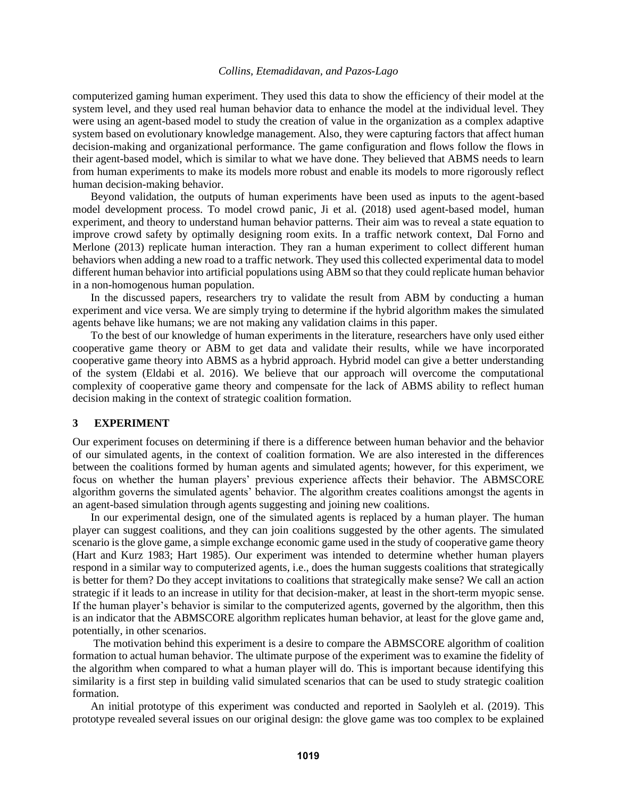computerized gaming human experiment. They used this data to show the efficiency of their model at the system level, and they used real human behavior data to enhance the model at the individual level. They were using an agent-based model to study the creation of value in the organization as a complex adaptive system based on evolutionary knowledge management. Also, they were capturing factors that affect human decision-making and organizational performance. The game configuration and flows follow the flows in their agent-based model, which is similar to what we have done. They believed that ABMS needs to learn from human experiments to make its models more robust and enable its models to more rigorously reflect human decision-making behavior.

Beyond validation, the outputs of human experiments have been used as inputs to the agent-based model development process. To model crowd panic, Ji et al. (2018) used agent-based model, human experiment, and theory to understand human behavior patterns. Their aim was to reveal a state equation to improve crowd safety by optimally designing room exits. In a traffic network context, Dal Forno and Merlone (2013) replicate human interaction. They ran a human experiment to collect different human behaviors when adding a new road to a traffic network. They used this collected experimental data to model different human behavior into artificial populations using ABM so that they could replicate human behavior in a non-homogenous human population.

In the discussed papers, researchers try to validate the result from ABM by conducting a human experiment and vice versa. We are simply trying to determine if the hybrid algorithm makes the simulated agents behave like humans; we are not making any validation claims in this paper.

To the best of our knowledge of human experiments in the literature, researchers have only used either cooperative game theory or ABM to get data and validate their results, while we have incorporated cooperative game theory into ABMS as a hybrid approach. Hybrid model can give a better understanding of the system (Eldabi et al. 2016). We believe that our approach will overcome the computational complexity of cooperative game theory and compensate for the lack of ABMS ability to reflect human decision making in the context of strategic coalition formation.

### **3 EXPERIMENT**

Our experiment focuses on determining if there is a difference between human behavior and the behavior of our simulated agents, in the context of coalition formation. We are also interested in the differences between the coalitions formed by human agents and simulated agents; however, for this experiment, we focus on whether the human players' previous experience affects their behavior. The ABMSCORE algorithm governs the simulated agents' behavior. The algorithm creates coalitions amongst the agents in an agent-based simulation through agents suggesting and joining new coalitions.

In our experimental design, one of the simulated agents is replaced by a human player. The human player can suggest coalitions, and they can join coalitions suggested by the other agents. The simulated scenario is the glove game, a simple exchange economic game used in the study of cooperative game theory (Hart and Kurz 1983; Hart 1985). Our experiment was intended to determine whether human players respond in a similar way to computerized agents, i.e., does the human suggests coalitions that strategically is better for them? Do they accept invitations to coalitions that strategically make sense? We call an action strategic if it leads to an increase in utility for that decision-maker, at least in the short-term myopic sense. If the human player's behavior is similar to the computerized agents, governed by the algorithm, then this is an indicator that the ABMSCORE algorithm replicates human behavior, at least for the glove game and, potentially, in other scenarios.

The motivation behind this experiment is a desire to compare the ABMSCORE algorithm of coalition formation to actual human behavior. The ultimate purpose of the experiment was to examine the fidelity of the algorithm when compared to what a human player will do. This is important because identifying this similarity is a first step in building valid simulated scenarios that can be used to study strategic coalition formation.

An initial prototype of this experiment was conducted and reported in Saolyleh et al. (2019). This prototype revealed several issues on our original design: the glove game was too complex to be explained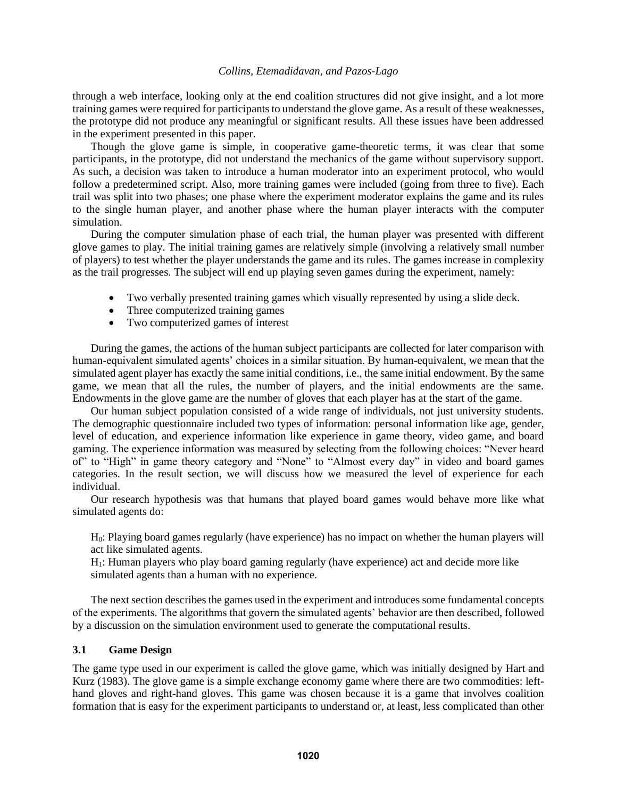through a web interface, looking only at the end coalition structures did not give insight, and a lot more training games were required for participants to understand the glove game. As a result of these weaknesses, the prototype did not produce any meaningful or significant results. All these issues have been addressed in the experiment presented in this paper.

Though the glove game is simple, in cooperative game-theoretic terms, it was clear that some participants, in the prototype, did not understand the mechanics of the game without supervisory support. As such, a decision was taken to introduce a human moderator into an experiment protocol, who would follow a predetermined script. Also, more training games were included (going from three to five). Each trail was split into two phases; one phase where the experiment moderator explains the game and its rules to the single human player, and another phase where the human player interacts with the computer simulation.

During the computer simulation phase of each trial, the human player was presented with different glove games to play. The initial training games are relatively simple (involving a relatively small number of players) to test whether the player understands the game and its rules. The games increase in complexity as the trail progresses. The subject will end up playing seven games during the experiment, namely:

- Two verbally presented training games which visually represented by using a slide deck.
- Three computerized training games
- Two computerized games of interest

During the games, the actions of the human subject participants are collected for later comparison with human-equivalent simulated agents' choices in a similar situation. By human-equivalent, we mean that the simulated agent player has exactly the same initial conditions, i.e., the same initial endowment. By the same game, we mean that all the rules, the number of players, and the initial endowments are the same. Endowments in the glove game are the number of gloves that each player has at the start of the game.

Our human subject population consisted of a wide range of individuals, not just university students. The demographic questionnaire included two types of information: personal information like age, gender, level of education, and experience information like experience in game theory, video game, and board gaming. The experience information was measured by selecting from the following choices: "Never heard of" to "High" in game theory category and "None" to "Almost every day" in video and board games categories. In the result section, we will discuss how we measured the level of experience for each individual.

Our research hypothesis was that humans that played board games would behave more like what simulated agents do:

H0: Playing board games regularly (have experience) has no impact on whether the human players will act like simulated agents.

H1: Human players who play board gaming regularly (have experience) act and decide more like simulated agents than a human with no experience.

The next section describes the games used in the experiment and introduces some fundamental concepts of the experiments. The algorithms that govern the simulated agents' behavior are then described, followed by a discussion on the simulation environment used to generate the computational results.

### **3.1 Game Design**

The game type used in our experiment is called the glove game, which was initially designed by Hart and Kurz (1983). The glove game is a simple exchange economy game where there are two commodities: lefthand gloves and right-hand gloves. This game was chosen because it is a game that involves coalition formation that is easy for the experiment participants to understand or, at least, less complicated than other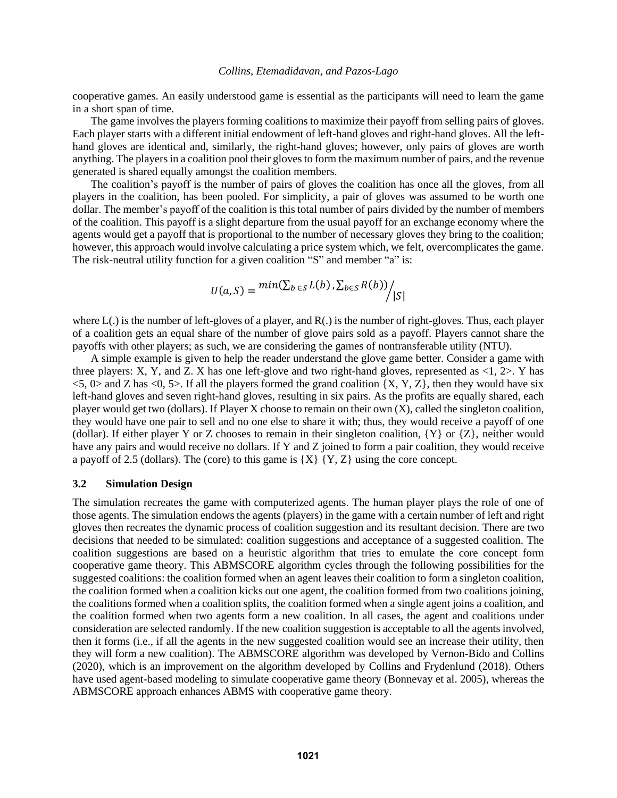cooperative games. An easily understood game is essential as the participants will need to learn the game in a short span of time.

The game involves the players forming coalitions to maximize their payoff from selling pairs of gloves. Each player starts with a different initial endowment of left-hand gloves and right-hand gloves. All the lefthand gloves are identical and, similarly, the right-hand gloves; however, only pairs of gloves are worth anything. The players in a coalition pool their gloves to form the maximum number of pairs, and the revenue generated is shared equally amongst the coalition members.

The coalition's payoff is the number of pairs of gloves the coalition has once all the gloves, from all players in the coalition, has been pooled. For simplicity, a pair of gloves was assumed to be worth one dollar. The member's payoff of the coalition is this total number of pairs divided by the number of members of the coalition. This payoff is a slight departure from the usual payoff for an exchange economy where the agents would get a payoff that is proportional to the number of necessary gloves they bring to the coalition; however, this approach would involve calculating a price system which, we felt, overcomplicates the game. The risk-neutral utility function for a given coalition "S" and member "a" is:

$$
U(a, S) = min(\sum_{b \in S} L(b), \sum_{b \in S} R(b)) / |S|
$$

where L(.) is the number of left-gloves of a player, and R(.) is the number of right-gloves. Thus, each player of a coalition gets an equal share of the number of glove pairs sold as a payoff. Players cannot share the payoffs with other players; as such, we are considering the games of nontransferable utility (NTU).

A simple example is given to help the reader understand the glove game better. Consider a game with three players: X, Y, and Z. X has one left-glove and two right-hand gloves, represented as  $\langle 1, 2 \rangle$ . Y has  $\langle 5, 0 \rangle$  and Z has  $\langle 0, 5 \rangle$ . If all the players formed the grand coalition  $\{X, Y, Z\}$ , then they would have six left-hand gloves and seven right-hand gloves, resulting in six pairs. As the profits are equally shared, each player would get two (dollars). If Player X choose to remain on their own (X), called the singleton coalition, they would have one pair to sell and no one else to share it with; thus, they would receive a payoff of one (dollar). If either player Y or Z chooses to remain in their singleton coalition,  ${Y}$  or  ${Z}$ , neither would have any pairs and would receive no dollars. If Y and Z joined to form a pair coalition, they would receive a payoff of 2.5 (dollars). The (core) to this game is  $\{X\}$   $\{Y, Z\}$  using the core concept.

### **3.2 Simulation Design**

The simulation recreates the game with computerized agents. The human player plays the role of one of those agents. The simulation endows the agents (players) in the game with a certain number of left and right gloves then recreates the dynamic process of coalition suggestion and its resultant decision. There are two decisions that needed to be simulated: coalition suggestions and acceptance of a suggested coalition. The coalition suggestions are based on a heuristic algorithm that tries to emulate the core concept form cooperative game theory. This ABMSCORE algorithm cycles through the following possibilities for the suggested coalitions: the coalition formed when an agent leaves their coalition to form a singleton coalition, the coalition formed when a coalition kicks out one agent, the coalition formed from two coalitions joining, the coalitions formed when a coalition splits, the coalition formed when a single agent joins a coalition, and the coalition formed when two agents form a new coalition. In all cases, the agent and coalitions under consideration are selected randomly. If the new coalition suggestion is acceptable to all the agents involved, then it forms (i.e., if all the agents in the new suggested coalition would see an increase their utility, then they will form a new coalition). The ABMSCORE algorithm was developed by Vernon-Bido and Collins (2020), which is an improvement on the algorithm developed by Collins and Frydenlund (2018). Others have used agent-based modeling to simulate cooperative game theory (Bonnevay et al. 2005), whereas the ABMSCORE approach enhances ABMS with cooperative game theory.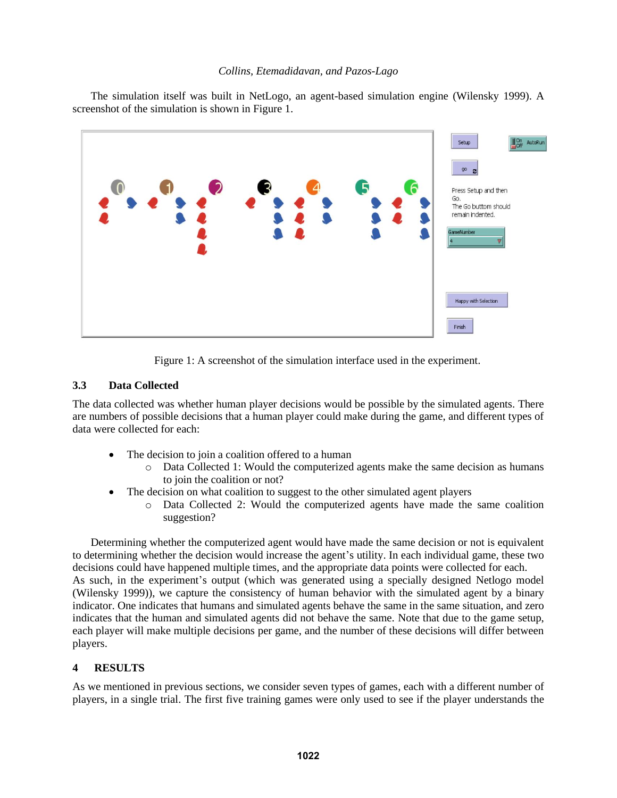The simulation itself was built in NetLogo, an agent-based simulation engine (Wilensky 1999). A screenshot of the simulation is shown in Figure 1.



Figure 1: A screenshot of the simulation interface used in the experiment.

# **3.3 Data Collected**

The data collected was whether human player decisions would be possible by the simulated agents. There are numbers of possible decisions that a human player could make during the game, and different types of data were collected for each:

- The decision to join a coalition offered to a human
	- o Data Collected 1: Would the computerized agents make the same decision as humans to join the coalition or not?
- The decision on what coalition to suggest to the other simulated agent players
	- o Data Collected 2: Would the computerized agents have made the same coalition suggestion?

Determining whether the computerized agent would have made the same decision or not is equivalent to determining whether the decision would increase the agent's utility. In each individual game, these two decisions could have happened multiple times, and the appropriate data points were collected for each. As such, in the experiment's output (which was generated using a specially designed Netlogo model (Wilensky 1999)), we capture the consistency of human behavior with the simulated agent by a binary indicator. One indicates that humans and simulated agents behave the same in the same situation, and zero indicates that the human and simulated agents did not behave the same. Note that due to the game setup, each player will make multiple decisions per game, and the number of these decisions will differ between players.

# **4 RESULTS**

As we mentioned in previous sections, we consider seven types of games, each with a different number of players, in a single trial. The first five training games were only used to see if the player understands the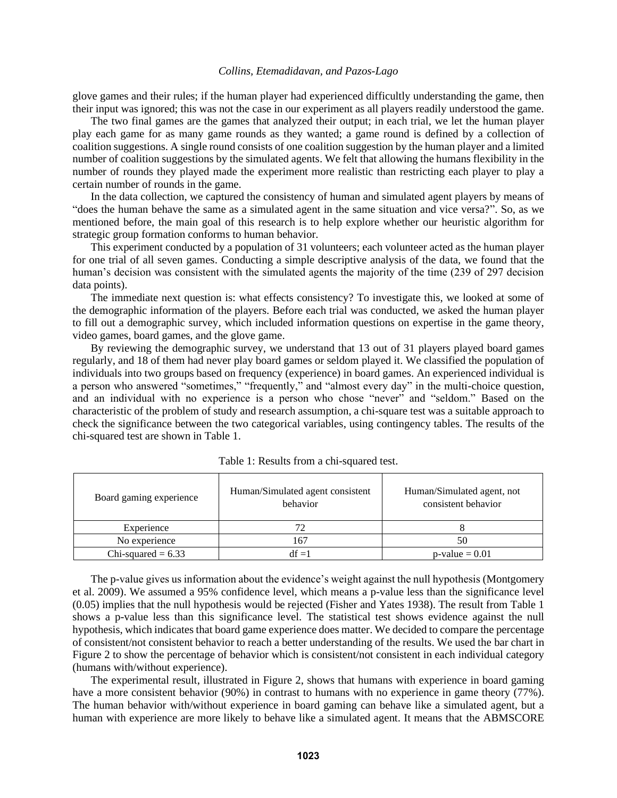glove games and their rules; if the human player had experienced difficultly understanding the game, then their input was ignored; this was not the case in our experiment as all players readily understood the game.

The two final games are the games that analyzed their output; in each trial, we let the human player play each game for as many game rounds as they wanted; a game round is defined by a collection of coalition suggestions. A single round consists of one coalition suggestion by the human player and a limited number of coalition suggestions by the simulated agents. We felt that allowing the humans flexibility in the number of rounds they played made the experiment more realistic than restricting each player to play a certain number of rounds in the game.

In the data collection, we captured the consistency of human and simulated agent players by means of "does the human behave the same as a simulated agent in the same situation and vice versa?". So, as we mentioned before, the main goal of this research is to help explore whether our heuristic algorithm for strategic group formation conforms to human behavior.

This experiment conducted by a population of 31 volunteers; each volunteer acted as the human player for one trial of all seven games. Conducting a simple descriptive analysis of the data, we found that the human's decision was consistent with the simulated agents the majority of the time (239 of 297 decision data points).

The immediate next question is: what effects consistency? To investigate this, we looked at some of the demographic information of the players. Before each trial was conducted, we asked the human player to fill out a demographic survey, which included information questions on expertise in the game theory, video games, board games, and the glove game.

By reviewing the demographic survey, we understand that 13 out of 31 players played board games regularly, and 18 of them had never play board games or seldom played it. We classified the population of individuals into two groups based on frequency (experience) in board games. An experienced individual is a person who answered "sometimes," "frequently," and "almost every day" in the multi-choice question, and an individual with no experience is a person who chose "never" and "seldom." Based on the characteristic of the problem of study and research assumption, a chi-square test was a suitable approach to check the significance between the two categorical variables, using contingency tables. The results of the chi-squared test are shown in Table 1.

| Board gaming experience | Human/Simulated agent consistent<br>behavior | Human/Simulated agent, not<br>consistent behavior |
|-------------------------|----------------------------------------------|---------------------------------------------------|
| Experience              | 72                                           |                                                   |
| No experience           | 167                                          | 50                                                |
| Chi-squared $= 6.33$    | df =1                                        | $p$ -value = 0.01                                 |

Table 1: Results from a chi-squared test.

The p-value gives us information about the evidence's weight against the null hypothesis (Montgomery et al. 2009). We assumed a 95% confidence level, which means a p-value less than the significance level (0.05) implies that the null hypothesis would be rejected (Fisher and Yates 1938). The result from Table 1 shows a p-value less than this significance level. The statistical test shows evidence against the null hypothesis, which indicates that board game experience does matter. We decided to compare the percentage of consistent/not consistent behavior to reach a better understanding of the results. We used the bar chart in Figure 2 to show the percentage of behavior which is consistent/not consistent in each individual category (humans with/without experience).

The experimental result, illustrated in Figure 2, shows that humans with experience in board gaming have a more consistent behavior (90%) in contrast to humans with no experience in game theory (77%). The human behavior with/without experience in board gaming can behave like a simulated agent, but a human with experience are more likely to behave like a simulated agent. It means that the ABMSCORE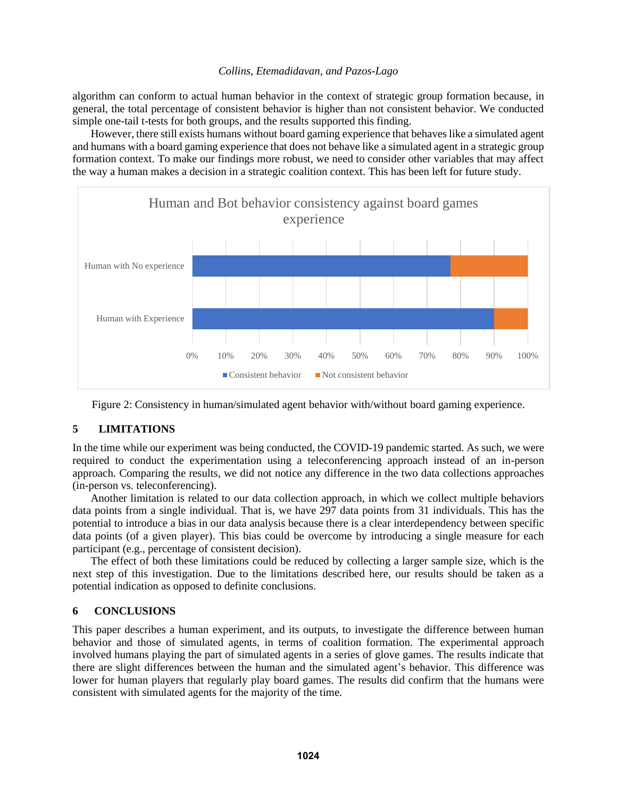algorithm can conform to actual human behavior in the context of strategic group formation because, in general, the total percentage of consistent behavior is higher than not consistent behavior. We conducted simple one-tail t-tests for both groups, and the results supported this finding.

However, there still exists humans without board gaming experience that behaveslike a simulated agent and humans with a board gaming experience that does not behave like a simulated agent in a strategic group formation context. To make our findings more robust, we need to consider other variables that may affect the way a human makes a decision in a strategic coalition context. This has been left for future study.





# **5 LIMITATIONS**

In the time while our experiment was being conducted, the COVID-19 pandemic started. As such, we were required to conduct the experimentation using a teleconferencing approach instead of an in-person approach. Comparing the results, we did not notice any difference in the two data collections approaches (in-person vs. teleconferencing).

Another limitation is related to our data collection approach, in which we collect multiple behaviors data points from a single individual. That is, we have 297 data points from 31 individuals. This has the potential to introduce a bias in our data analysis because there is a clear interdependency between specific data points (of a given player). This bias could be overcome by introducing a single measure for each participant (e.g., percentage of consistent decision).

The effect of both these limitations could be reduced by collecting a larger sample size, which is the next step of this investigation. Due to the limitations described here, our results should be taken as a potential indication as opposed to definite conclusions.

### **6 CONCLUSIONS**

This paper describes a human experiment, and its outputs, to investigate the difference between human behavior and those of simulated agents, in terms of coalition formation. The experimental approach involved humans playing the part of simulated agents in a series of glove games. The results indicate that there are slight differences between the human and the simulated agent's behavior. This difference was lower for human players that regularly play board games. The results did confirm that the humans were consistent with simulated agents for the majority of the time.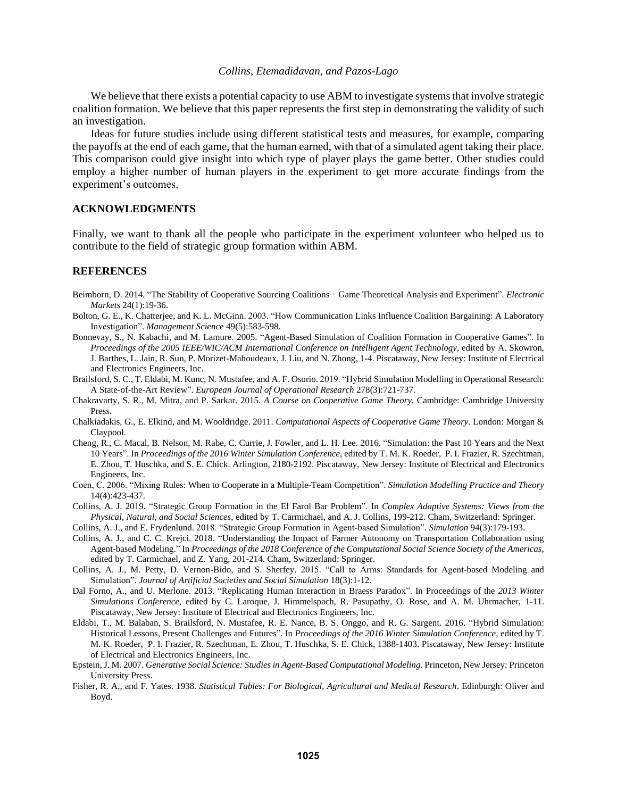We believe that there exists a potential capacity to use ABM to investigate systems that involve strategic coalition formation. We believe that this paper represents the first step in demonstrating the validity of such an investigation.

Ideas for future studies include using different statistical tests and measures, for example, comparing the payoffs at the end of each game, that the human earned, with that of a simulated agent taking their place. This comparison could give insight into which type of player plays the game better. Other studies could employ a higher number of human players in the experiment to get more accurate findings from the experiment's outcomes.

#### **ACKNOWLEDGMENTS**

Finally, we want to thank all the people who participate in the experiment volunteer who helped us to contribute to the field of strategic group formation within ABM.

#### **REFERENCES**

- Beimborn, D. 2014. "The Stability of Cooperative Sourcing Coalitions‐Game Theoretical Analysis and Experiment". *Electronic Markets* 24(1):19-36.
- Bolton, G. E., K. Chatterjee, and K. L. McGinn. 2003. "How Communication Links Influence Coalition Bargaining: A Laboratory Investigation". *Management Science* 49(5):583-598.
- Bonnevay, S., N. Kabachi, and M. Lamure. 2005. "Agent-Based Simulation of Coalition Formation in Cooperative Games". In *Proceedings of the 2005 IEEE/WIC/ACM International Conference on Intelligent Agent Technology*, edited by A. Skowron, J. Barthes, L. Jain, R. Sun, P. Morizet-Mahoudeaux, J. Liu, and N. Zhong, 1-4. Piscataway, New Jersey: Institute of Electrical and Electronics Engineers, Inc.
- Brailsford, S. C., T. Eldabi, M. Kunc, N. Mustafee, and A. F. Osorio. 2019. "Hybrid Simulation Modelling in Operational Research: A State-of-the-Art Review". *European Journal of Operational Research* 278(3):721-737.
- Chakravarty, S. R., M. Mitra, and P. Sarkar. 2015. *A Course on Cooperative Game Theory.* Cambridge: Cambridge University Press.
- Chalkiadakis, G., E. Elkind, and M. Wooldridge. 2011. *Computational Aspects of Cooperative Game Theory*. London: Morgan & Claypool.
- Cheng, R., C. Macal, B. Nelson, M. Rabe, C. Currie, J. Fowler, and L. H. Lee. 2016. "Simulation: the Past 10 Years and the Next 10 Years". In *Proceedings of the 2016 Winter Simulation Conference*, edited by T. M. K. Roeder, P. I. Frazier, R. Szechtman, E. Zhou, T. Huschka, and S. E. Chick. Arlington, 2180-2192. Piscataway, New Jersey: Institute of Electrical and Electronics Engineers, Inc.
- Coen, C. 2006. "Mixing Rules: When to Cooperate in a Multiple-Team Competition". *Simulation Modelling Practice and Theory* 14(4):423-437.
- Collins, A. J. 2019. "Strategic Group Formation in the El Farol Bar Problem". In *Complex Adaptive Systems: Views from the Physical, Natural, and Social Sciences*, edited by T. Carmichael, and A. J. Collins, 199-212. Cham, Switzerland: Springer.
- Collins, A. J., and E. Frydenlund. 2018. "Strategic Group Formation in Agent-based Simulation". *Simulation* 94(3):179-193.
- Collins, A. J., and C. C. Krejci. 2018. "Understanding the Impact of Farmer Autonomy on Transportation Collaboration using Agent-based Modeling." In *Proceedings of the 2018 Conference of the Computational Social Science Society of the Americas*, edited by T. Carmichael, and Z. Yang, 201-214. Cham, Switzerland: Springer.
- Collins, A. J., M. Petty, D. Vernon-Bido, and S. Sherfey. 2015. "Call to Arms: Standards for Agent-based Modeling and Simulation". *Journal of Artificial Societies and Social Simulation* 18(3):1-12.
- Dal Forno, A., and U. Merlone. 2013. "Replicating Human Interaction in Braess Paradox". In Proceedings of the *2013 Winter Simulations Conference*, edited by C. Laroque, J. Himmelspach, R. Pasupathy, O. Rose, and A. M. Uhrmacher, 1-11. Piscataway, New Jersey: Institute of Electrical and Electronics Engineers, Inc.
- Eldabi, T., M. Balaban, S. Brailsford, N. Mustafee, R. E. Nance, B. S. Onggo, and R. G. Sargent. 2016. "Hybrid Simulation: Historical Lessons, Present Challenges and Futures". In *Proceedings of the 2016 Winter Simulation Conference*, edited by T. M. K. Roeder, P. I. Frazier, R. Szechtman, E. Zhou, T. Huschka, S. E. Chick, 1388-1403. Piscataway, New Jersey: Institute of Electrical and Electronics Engineers, Inc.
- Epstein, J. M. 2007. *Generative Social Science: Studies in Agent-Based Computational Modeling*. Princeton, New Jersey: Princeton University Press.
- Fisher, R. A., and F. Yates. 1938. *Statistical Tables: For Biological, Agricultural and Medical Research*. Edinburgh: Oliver and Boyd.